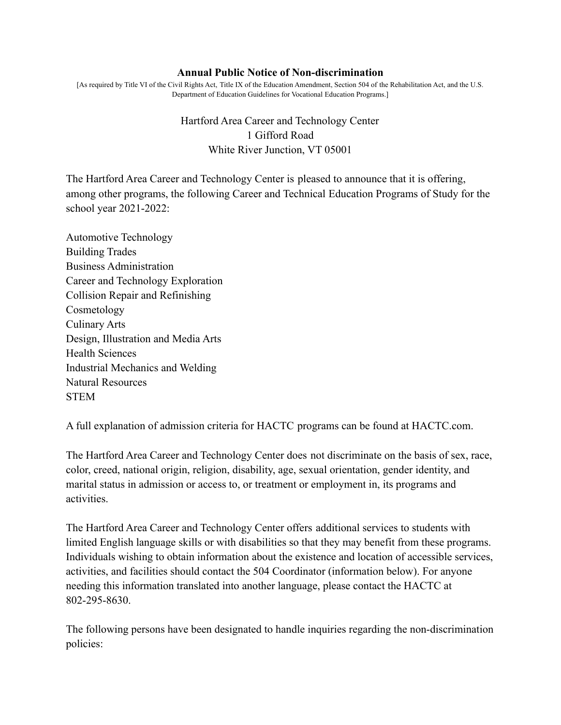## **Annual Public Notice of Non-discrimination**

[As required by Title VI of the Civil Rights Act, Title IX of the Education Amendment, Section 504 of the Rehabilitation Act, and the U.S. Department of Education Guidelines for Vocational Education Programs.]

## Hartford Area Career and Technology Center 1 Gifford Road White River Junction, VT 05001

The Hartford Area Career and Technology Center is pleased to announce that it is offering, among other programs, the following Career and Technical Education Programs of Study for the school year 2021-2022:

Automotive Technology Building Trades Business Administration Career and Technology Exploration Collision Repair and Refinishing Cosmetology Culinary Arts Design, Illustration and Media Arts Health Sciences Industrial Mechanics and Welding Natural Resources **STEM** 

A full explanation of admission criteria for HACTC programs can be found at HACTC.com.

The Hartford Area Career and Technology Center does not discriminate on the basis of sex, race, color, creed, national origin, religion, disability, age, sexual orientation, gender identity, and marital status in admission or access to, or treatment or employment in, its programs and activities.

The Hartford Area Career and Technology Center offers additional services to students with limited English language skills or with disabilities so that they may benefit from these programs. Individuals wishing to obtain information about the existence and location of accessible services, activities, and facilities should contact the 504 Coordinator (information below). For anyone needing this information translated into another language, please contact the HACTC at 802-295-8630.

The following persons have been designated to handle inquiries regarding the non-discrimination policies: